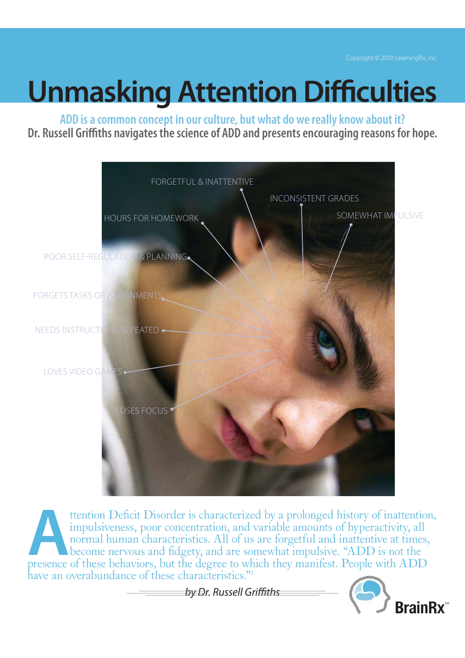**ADD is a common concept in our culture, but what do we really know about it? Dr. Russell Griffiths navigates the science of ADD and presents encouraging reasons for hope. ADD** is a common concept in our culture, but what do we really know about it?<br>Dr. Bussell Griffiths pavigates the science of ADD and presents encouraging reasons for heno.



**A**<br>tention Deficit Disorder is characterized by a prolonged history of inattention,<br>impulsiveness, poor concentration, and variable amounts of hyperactivity, all<br>normal human characteristics. All of us are forgetful and i impulsiveness, poor concentration, and variable amounts of hyperactivity, all normal human characteristics. All of us are forgetful and inattentive at times, become nervous and fidgety, and are somewhat impulsive. "ADD is not the presence of these behaviors, but the degree to which they manifest. People with ADD have an overabundance of these characteristics."<sup>1</sup>

by Dr. Russell Griffiths

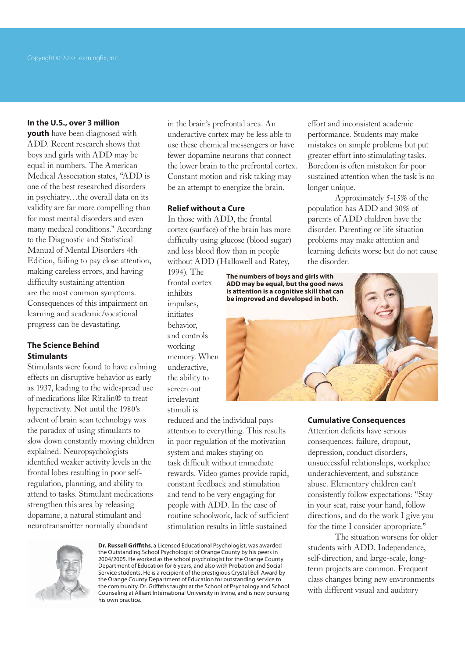### **In the U.S., over 3 million**

**youth** have been diagnosed with ADD. Recent research shows that boys and girls with ADD may be equal in numbers. The American Medical Association states, "ADD is one of the best researched disorders in psychiatry…the overall data on its validity are far more compelling than for most mental disorders and even many medical conditions." According to the Diagnostic and Statistical Manual of Mental Disorders 4th Edition, failing to pay close attention, making careless errors, and having difficulty sustaining attention are the most common symptoms. Consequences of this impairment on learning and academic/vocational progress can be devastating.

# **The Science Behind Stimulants**

Stimulants were found to have calming effects on disruptive behavior as early as 1937, leading to the widespread use of medications like Ritalin® to treat hyperactivity. Not until the 1980's advent of brain scan technology was the paradox of using stimulants to slow down constantly moving children explained. Neuropsychologists identified weaker activity levels in the frontal lobes resulting in poor selfregulation, planning, and ability to attend to tasks. Stimulant medications strengthen this area by releasing dopamine, a natural stimulant and neurotransmitter normally abundant

in the brain's prefrontal area. An underactive cortex may be less able to use these chemical messengers or have fewer dopamine neurons that connect the lower brain to the prefrontal cortex. Constant motion and risk taking may be an attempt to energize the brain.

#### **Relief without a Cure**

In those with ADD, the frontal cortex (surface) of the brain has more difficulty using glucose (blood sugar) and less blood flow than in people without ADD (Hallowell and Ratey,

1994). The frontal cortex inhibits impulses, initiates behavior, and controls working memory. When underactive, the ability to screen out irrelevant stimuli is

reduced and the individual pays attention to everything. This results in poor regulation of the motivation system and makes staying on task difficult without immediate rewards. Video games provide rapid, constant feedback and stimulation and tend to be very engaging for people with ADD. In the case of routine schoolwork, lack of sufficient stimulation results in little sustained



**Dr. Russell Griffiths**, a Licensed Educational Psychologist, was awarded the Outstanding School Psychologist of Orange County by his peers in 2004/2005. He worked as the school psychologist for the Orange County Department of Education for 6 years, and also with Probation and Social Service students. He is a recipient of the prestigious Crystal Bell Award by the Orange County Department of Education for outstanding service to the community. Dr. Griffiths taught at the School of Psychology and School Counseling at Alliant International University in Irvine, and is now pursuing his own practice.

effort and inconsistent academic performance. Students may make mistakes on simple problems but put greater effort into stimulating tasks. Boredom is often mistaken for poor sustained attention when the task is no longer unique.

Approximately 5-15% of the population has ADD and 30% of parents of ADD children have the disorder. Parenting or life situation problems may make attention and learning deficits worse but do not cause the disorder.



# **Cumulative Consequences**

Attention deficits have serious consequences: failure, dropout, depression, conduct disorders, unsuccessful relationships, workplace underachievement, and substance abuse. Elementary children can't consistently follow expectations: "Stay in your seat, raise your hand, follow directions, and do the work I give you for the time I consider appropriate."

The situation worsens for older students with ADD. Independence, self-direction, and large-scale, longterm projects are common. Frequent class changes bring new environments with different visual and auditory